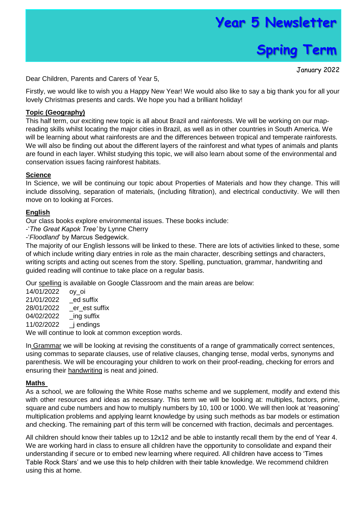# **Year 5 Newsletter**



January 2022

Dear Children, Parents and Carers of Year 5,

Firstly, we would like to wish you a Happy New Year! We would also like to say a big thank you for all your lovely Christmas presents and cards. We hope you had a brilliant holiday!

### **Topic (Geography)**

This half term, our exciting new topic is all about Brazil and rainforests. We will be working on our mapreading skills whilst locating the major cities in Brazil, as well as in other countries in South America. We will be learning about what rainforests are and the differences between tropical and temperate rainforests. We will also be finding out about the different layers of the rainforest and what types of animals and plants are found in each layer. Whilst studying this topic, we will also learn about some of the environmental and conservation issues facing rainforest habitats.

## **Science**

In Science, we will be continuing our topic about Properties of Materials and how they change. This will include dissolving, separation of materials, (including filtration), and electrical conductivity. We will then move on to looking at Forces.

#### **English**

Our class books explore environmental issues. These books include:

-'*The Great Kapok Tree'* by Lynne Cherry

-'*Floodland*' by Marcus Sedgewick.

The majority of our English lessons will be linked to these. There are lots of activities linked to these, some of which include writing diary entries in role as the main character, describing settings and characters, writing scripts and acting out scenes from the story. Spelling, punctuation, grammar, handwriting and guided reading will continue to take place on a regular basis.

Our spelling is available on Google Classroom and the main areas are below:

14/01/2022 oy\_oi 21/01/2022 \_ed suffix 28/01/2022 er est suffix 04/02/2022 ing suffix 11/02/2022 \_j endings We will continue to look at common exception words.

In Grammar we will be looking at revising the constituents of a range of grammatically correct sentences,

using commas to separate clauses, use of relative clauses, changing tense, modal verbs, synonyms and parenthesis. We will be encouraging your children to work on their proof-reading, checking for errors and ensuring their handwriting is neat and joined.

#### **Maths**

As a school, we are following the White Rose maths scheme and we supplement, modify and extend this with other resources and ideas as necessary. This term we will be looking at: multiples, factors, prime, square and cube numbers and how to multiply numbers by 10, 100 or 1000. We will then look at 'reasoning' multiplication problems and applying learnt knowledge by using such methods as bar models or estimation and checking. The remaining part of this term will be concerned with fraction, decimals and percentages.

All children should know their tables up to 12x12 and be able to instantly recall them by the end of Year 4. We are working hard in class to ensure all children have the opportunity to consolidate and expand their understanding if secure or to embed new learning where required. All children have access to 'Times Table Rock Stars' and we use this to help children with their table knowledge. We recommend children using this at home.